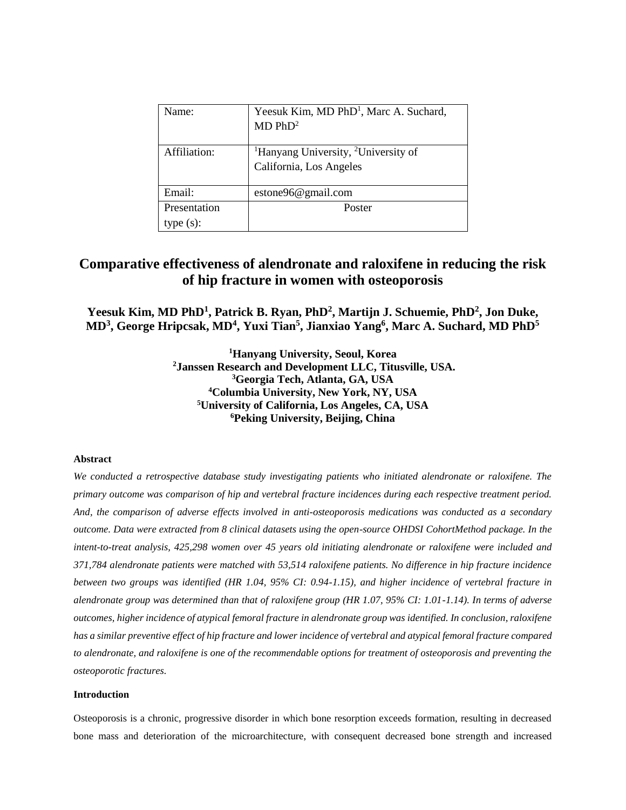| Name:        | Yeesuk Kim, MD PhD <sup>1</sup> , Marc A. Suchard,<br>MD PhD <sup>2</sup>              |
|--------------|----------------------------------------------------------------------------------------|
| Affiliation: | <sup>1</sup> Hanyang University, <sup>2</sup> University of<br>California, Los Angeles |
| Email:       | estone96@gmail.com                                                                     |
| Presentation | Poster                                                                                 |
| type(s):     |                                                                                        |

# **Comparative effectiveness of alendronate and raloxifene in reducing the risk of hip fracture in women with osteoporosis**

Yeesuk Kim, MD PhD<sup>1</sup>, Patrick B. Ryan, PhD<sup>2</sup>, Martijn J. Schuemie, PhD<sup>2</sup>, Jon Duke, **MD<sup>3</sup> , George Hripcsak, MD<sup>4</sup> , Yuxi Tian<sup>5</sup> , Jianxiao Yang<sup>6</sup> , Marc A. Suchard, MD PhD<sup>5</sup>**

> **Hanyang University, Seoul, Korea Janssen Research and Development LLC, Titusville, USA. Georgia Tech, Atlanta, GA, USA Columbia University, New York, NY, USA University of California, Los Angeles, CA, USA Peking University, Beijing, China**

## **Abstract**

*We conducted a retrospective database study investigating patients who initiated alendronate or raloxifene. The primary outcome was comparison of hip and vertebral fracture incidences during each respective treatment period. And, the comparison of adverse effects involved in anti-osteoporosis medications was conducted as a secondary outcome. Data were extracted from 8 clinical datasets using the open-source OHDSI CohortMethod package. In the intent-to-treat analysis, 425,298 women over 45 years old initiating alendronate or raloxifene were included and 371,784 alendronate patients were matched with 53,514 raloxifene patients. No difference in hip fracture incidence between two groups was identified (HR 1.04, 95% CI: 0.94-1.15), and higher incidence of vertebral fracture in alendronate group was determined than that of raloxifene group (HR 1.07, 95% CI: 1.01-1.14). In terms of adverse outcomes, higher incidence of atypical femoral fracture in alendronate group was identified. In conclusion, raloxifene has a similar preventive effect of hip fracture and lower incidence of vertebral and atypical femoral fracture compared to alendronate, and raloxifene is one of the recommendable options for treatment of osteoporosis and preventing the osteoporotic fractures.*

## **Introduction**

Osteoporosis is a chronic, progressive disorder in which bone resorption exceeds formation, resulting in decreased bone mass and deterioration of the microarchitecture, with consequent decreased bone strength and increased